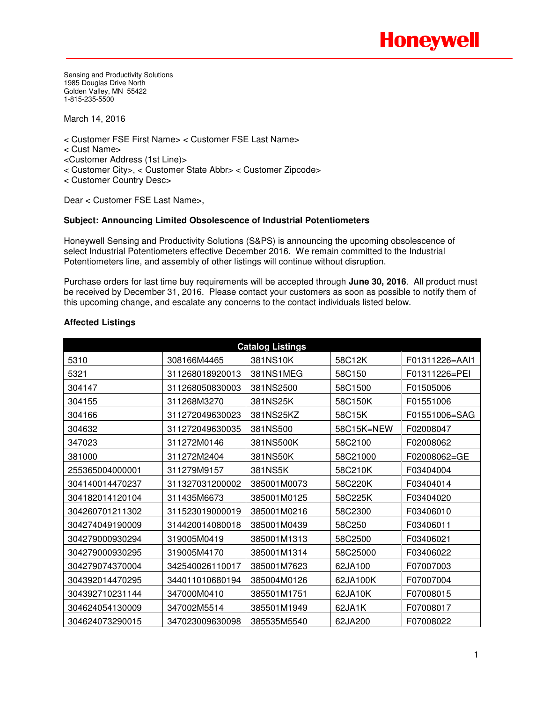Sensing and Productivity Solutions 1985 Douglas Drive North Golden Valley, MN 55422 1-815-235-5500

March 14, 2016

< Customer FSE First Name> < Customer FSE Last Name>

- < Cust Name>
- <Customer Address (1st Line)>
- < Customer City>, < Customer State Abbr> < Customer Zipcode>
- < Customer Country Desc>

Dear < Customer FSE Last Name>,

## **Subject: Announcing Limited Obsolescence of Industrial Potentiometers**

Honeywell Sensing and Productivity Solutions (S&PS) is announcing the upcoming obsolescence of select Industrial Potentiometers effective December 2016. We remain committed to the Industrial Potentiometers line, and assembly of other listings will continue without disruption.

Purchase orders for last time buy requirements will be accepted through **June 30, 2016**. All product must be received by December 31, 2016. Please contact your customers as soon as possible to notify them of this upcoming change, and escalate any concerns to the contact individuals listed below.

| <b>Catalog Listings</b> |                 |             |            |                |  |  |  |
|-------------------------|-----------------|-------------|------------|----------------|--|--|--|
| 5310                    | 308166M4465     | 381NS10K    | 58C12K     | F01311226=AAI1 |  |  |  |
| 5321                    | 311268018920013 | 381NS1MEG   | 58C150     | F01311226=PEI  |  |  |  |
| 304147                  | 311268050830003 | 381NS2500   | 58C1500    | F01505006      |  |  |  |
| 304155                  | 311268M3270     | 381NS25K    | 58C150K    | F01551006      |  |  |  |
| 304166                  | 311272049630023 | 381NS25KZ   | 58C15K     | F01551006=SAG  |  |  |  |
| 304632                  | 311272049630035 | 381NS500    | 58C15K=NEW | F02008047      |  |  |  |
| 347023                  | 311272M0146     | 381NS500K   | 58C2100    | F02008062      |  |  |  |
| 381000                  | 311272M2404     | 381NS50K    | 58C21000   | F02008062=GE   |  |  |  |
| 255365004000001         | 311279M9157     | 381NS5K     | 58C210K    | F03404004      |  |  |  |
| 304140014470237         | 311327031200002 | 385001M0073 | 58C220K    | F03404014      |  |  |  |
| 304182014120104         | 311435M6673     | 385001M0125 | 58C225K    | F03404020      |  |  |  |
| 304260701211302         | 311523019000019 | 385001M0216 | 58C2300    | F03406010      |  |  |  |
| 304274049190009         | 314420014080018 | 385001M0439 | 58C250     | F03406011      |  |  |  |
| 304279000930294         | 319005M0419     | 385001M1313 | 58C2500    | F03406021      |  |  |  |
| 304279000930295         | 319005M4170     | 385001M1314 | 58C25000   | F03406022      |  |  |  |
| 304279074370004         | 342540026110017 | 385001M7623 | 62JA100    | F07007003      |  |  |  |
| 304392014470295         | 344011010680194 | 385004M0126 | 62JA100K   | F07007004      |  |  |  |
| 304392710231144         | 347000M0410     | 385501M1751 | 62JA10K    | F07008015      |  |  |  |
| 304624054130009         | 347002M5514     | 385501M1949 | 62JA1K     | F07008017      |  |  |  |
| 304624073290015         | 347023009630098 | 385535M5540 | 62JA200    | F07008022      |  |  |  |

## **Affected Listings**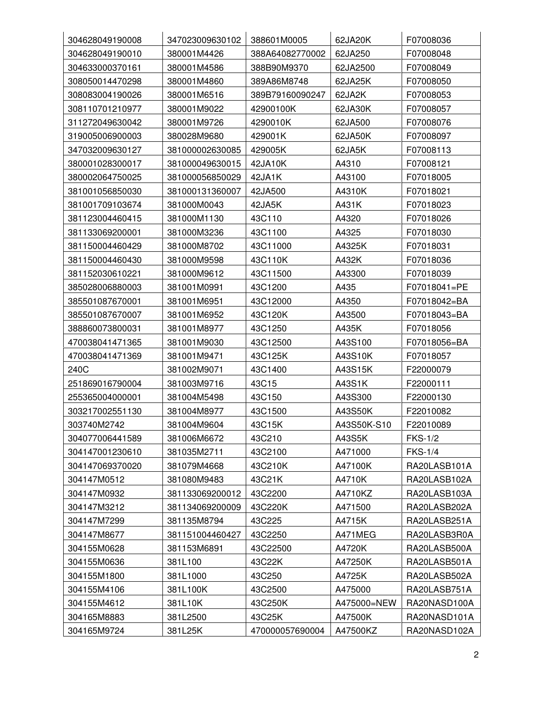| 304628049190008 | 347023009630102 | 388601M0005     | 62JA20K     | F07008036      |
|-----------------|-----------------|-----------------|-------------|----------------|
| 304628049190010 | 380001M4426     | 388A64082770002 | 62JA250     | F07008048      |
| 304633000370161 | 380001M4586     | 388B90M9370     | 62JA2500    | F07008049      |
| 308050014470298 | 380001M4860     | 389A86M8748     | 62JA25K     | F07008050      |
| 308083004190026 | 380001M6516     | 389B79160090247 | 62JA2K      | F07008053      |
| 308110701210977 | 380001M9022     | 42900100K       | 62JA30K     | F07008057      |
| 311272049630042 | 380001M9726     | 4290010K        | 62JA500     | F07008076      |
| 319005006900003 | 380028M9680     | 429001K         | 62JA50K     | F07008097      |
| 347032009630127 | 381000002630085 | 429005K         | 62JA5K      | F07008113      |
| 380001028300017 | 381000049630015 | 42JA10K         | A4310       | F07008121      |
| 380002064750025 | 381000056850029 | 42JA1K          | A43100      | F07018005      |
| 381001056850030 | 381000131360007 | 42JA500         | A4310K      | F07018021      |
| 381001709103674 | 381000M0043     | 42JA5K          | A431K       | F07018023      |
| 381123004460415 | 381000M1130     | 43C110          | A4320       | F07018026      |
| 381133069200001 | 381000M3236     | 43C1100         | A4325       | F07018030      |
| 381150004460429 | 381000M8702     | 43C11000        | A4325K      | F07018031      |
| 381150004460430 | 381000M9598     | 43C110K         | A432K       | F07018036      |
| 381152030610221 | 381000M9612     | 43C11500        | A43300      | F07018039      |
| 385028006880003 | 381001M0991     | 43C1200         | A435        | F07018041=PE   |
| 385501087670001 | 381001M6951     | 43C12000        | A4350       | F07018042=BA   |
| 385501087670007 | 381001M6952     | 43C120K         | A43500      | F07018043=BA   |
| 388860073800031 | 381001M8977     | 43C1250         | A435K       | F07018056      |
| 470038041471365 | 381001M9030     | 43C12500        | A43S100     | F07018056=BA   |
| 470038041471369 | 381001M9471     | 43C125K         | A43S10K     | F07018057      |
| 240C            | 381002M9071     | 43C1400         | A43S15K     | F22000079      |
| 251869016790004 | 381003M9716     | 43C15           | A43S1K      | F22000111      |
| 255365004000001 | 381004M5498     | 43C150          | A43S300     | F22000130      |
| 303217002551130 | 381004M8977     | 43C1500         | A43S50K     | F22010082      |
| 303740M2742     | 381004M9604     | 43C15K          | A43S50K-S10 | F22010089      |
| 304077006441589 | 381006M6672     | 43C210          | A43S5K      | <b>FKS-1/2</b> |
| 304147001230610 | 381035M2711     | 43C2100         | A471000     | <b>FKS-1/4</b> |
| 304147069370020 | 381079M4668     | 43C210K         | A47100K     | RA20LASB101A   |
| 304147M0512     | 381080M9483     | 43C21K          | A4710K      | RA20LASB102A   |
| 304147M0932     | 381133069200012 | 43C2200         | A4710KZ     | RA20LASB103A   |
| 304147M3212     | 381134069200009 | 43C220K         | A471500     | RA20LASB202A   |
| 304147M7299     | 381135M8794     | 43C225          | A4715K      | RA20LASB251A   |
| 304147M8677     | 381151004460427 | 43C2250         | A471MEG     | RA20LASB3R0A   |
| 304155M0628     | 381153M6891     | 43C22500        | A4720K      | RA20LASB500A   |
| 304155M0636     | 381L100         | 43C22K          | A47250K     | RA20LASB501A   |
| 304155M1800     | 381L1000        | 43C250          | A4725K      | RA20LASB502A   |
| 304155M4106     | 381L100K        | 43C2500         | A475000     | RA20LASB751A   |
| 304155M4612     | 381L10K         | 43C250K         | A475000=NEW | RA20NASD100A   |
| 304165M8883     | 381L2500        | 43C25K          | A47500K     | RA20NASD101A   |
| 304165M9724     | 381L25K         | 470000057690004 | A47500KZ    | RA20NASD102A   |